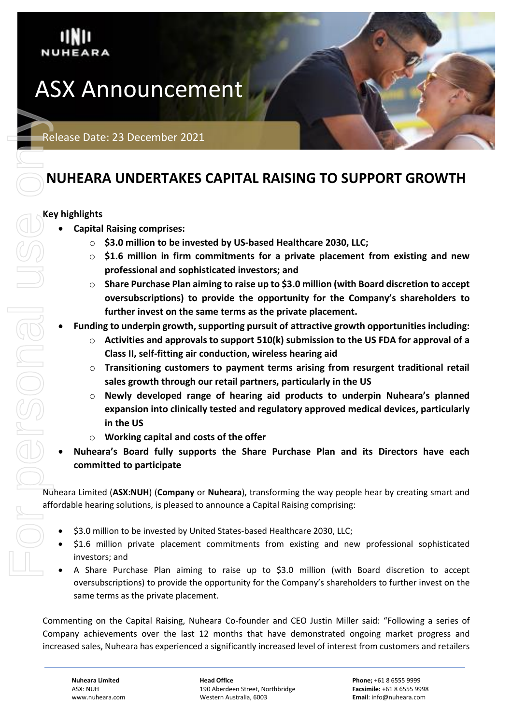

# **NUHEARA UNDERTAKES CAPITAL RAISING TO SUPPORT GROWTH**

# **Key highlights**

- **Capital Raising comprises:**
	- o **\$3.0 million to be invested by US-based Healthcare 2030, LLC;**
	- o **\$1.6 million in firm commitments for a private placement from existing and new professional and sophisticated investors; and**
	- o **Share Purchase Plan aiming to raise up to \$3.0 million (with Board discretion to accept oversubscriptions) to provide the opportunity for the Company's shareholders to further invest on the same terms as the private placement.**
- **Funding to underpin growth, supporting pursuit of attractive growth opportunities including:**
	- o **Activities and approvals to support 510(k) submission to the US FDA for approval of a Class II, self-fitting air conduction, wireless hearing aid**
	- o **Transitioning customers to payment terms arising from resurgent traditional retail sales growth through our retail partners, particularly in the US**
	- o **Newly developed range of hearing aid products to underpin Nuheara's planned expansion into clinically tested and regulatory approved medical devices, particularly in the US**
	- o **Working capital and costs of the offer**
- **Nuheara's Board fully supports the Share Purchase Plan and its Directors have each committed to participate**

Nuheara Limited (**ASX:NUH**) (**Company** or **Nuheara**), transforming the way people hear by creating smart and affordable hearing solutions, is pleased to announce a Capital Raising comprising:

- \$3.0 million to be invested by United States-based Healthcare 2030, LLC;
- \$1.6 million private placement commitments from existing and new professional sophisticated investors; and
- A Share Purchase Plan aiming to raise up to \$3.0 million (with Board discretion to accept oversubscriptions) to provide the opportunity for the Company's shareholders to further invest on the same terms as the private placement.

Commenting on the Capital Raising, Nuheara Co-founder and CEO Justin Miller said: "Following a series of Company achievements over the last 12 months that have demonstrated ongoing market progress and increased sales, Nuheara has experienced a significantly increased level of interest from customers and retailers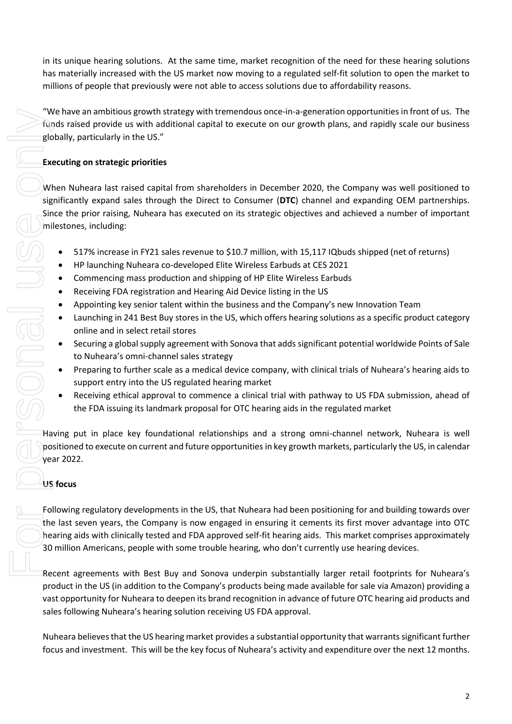in its unique hearing solutions. At the same time, market recognition of the need for these hearing solutions has materially increased with the US market now moving to a regulated self-fit solution to open the market to millions of people that previously were not able to access solutions due to affordability reasons.

"We have an ambitious growth strategy with tremendous once-in-a-generation opportunities in front of us. The funds raised provide us with additional capital to execute on our growth plans, and rapidly scale our business globally, particularly in the US."

# **Executing on strategic priorities**

When Nuheara last raised capital from shareholders in December 2020, the Company was well positioned to significantly expand sales through the Direct to Consumer (**DTC**) channel and expanding OEM partnerships. Since the prior raising, Nuheara has executed on its strategic objectives and achieved a number of important milestones, including: The mean and motions provided in the US, the the mean and the set of the set of Nukeria and the set of Nukeria activity and the set of Nukeria Special Apple 100 to Nukler and the US (Walker Special Apple 100 to Nukler Spec

- 517% increase in FY21 sales revenue to \$10.7 million, with 15,117 IQbuds shipped (net of returns)
- HP launching Nuheara co-developed Elite Wireless Earbuds at CES 2021
- Commencing mass production and shipping of HP Elite Wireless Earbuds
- Receiving FDA registration and Hearing Aid Device listing in the US
- Appointing key senior talent within the business and the Company's new Innovation Team
- Launching in 241 Best Buy stores in the US, which offers hearing solutions as a specific product category online and in select retail stores
- Securing a global supply agreement with Sonova that adds significant potential worldwide Points of Sale to Nuheara's omni-channel sales strategy
- Preparing to further scale as a medical device company, with clinical trials of Nuheara's hearing aids to support entry into the US regulated hearing market
- Receiving ethical approval to commence a clinical trial with pathway to US FDA submission, ahead of the FDA issuing its landmark proposal for OTC hearing aids in the regulated market

Having put in place key foundational relationships and a strong omni-channel network, Nuheara is well positioned to execute on current and future opportunities in key growth markets, particularly the US, in calendar year 2022.

# **US focus**

Following regulatory developments in the US, that Nuheara had been positioning for and building towards over the last seven years, the Company is now engaged in ensuring it cements its first mover advantage into OTC hearing aids with clinically tested and FDA approved self-fit hearing aids. This market comprises approximately 30 million Americans, people with some trouble hearing, who don't currently use hearing devices.

Recent agreements with Best Buy and Sonova underpin substantially larger retail footprints for Nuheara's product in the US (in addition to the Company's products being made available for sale via Amazon) providing a vast opportunity for Nuheara to deepen its brand recognition in advance of future OTC hearing aid products and sales following Nuheara's hearing solution receiving US FDA approval.

Nuheara believes that the US hearing market provides a substantial opportunity that warrantssignificant further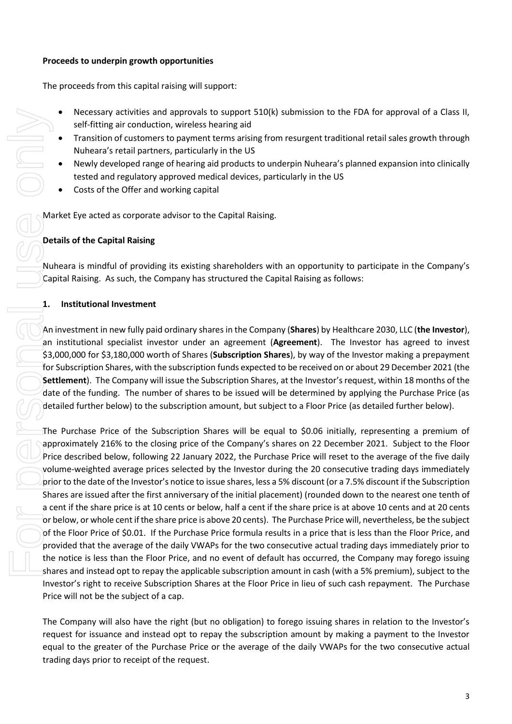### **Proceeds to underpin growth opportunities**

The proceeds from this capital raising will support:

- Necessary activities and approvals to support 510(k) submission to the FDA for approval of a Class II, self-fitting air conduction, wireless hearing aid
- Transition of customers to payment terms arising from resurgent traditional retail sales growth through Nuheara's retail partners, particularly in the US
- Newly developed range of hearing aid products to underpin Nuheara's planned expansion into clinically tested and regulatory approved medical devices, particularly in the US
- Costs of the Offer and working capital

Market Eye acted as corporate advisor to the Capital Raising.

# **Details of the Capital Raising**

Nuheara is mindful of providing its existing shareholders with an opportunity to participate in the Company's Capital Raising. As such, the Company has structured the Capital Raising as follows:

## **1. Institutional Investment**

An investment in new fully paid ordinary shares in the Company (**Shares**) by Healthcare 2030, LLC (**the Investor**), an institutional specialist investor under an agreement (**Agreement**). The Investor has agreed to invest \$3,000,000 for \$3,180,000 worth of Shares (**Subscription Shares**), by way of the Investor making a prepayment for Subscription Shares, with the subscription funds expected to be received on or about 29 December 2021 (the **Settlement**). The Company will issue the Subscription Shares, at the Investor's request, within 18 months of the date of the funding. The number of shares to be issued will be determined by applying the Purchase Price (as detailed further below) to the subscription amount, but subject to a Floor Price (as detailed further below).

The Purchase Price of the Subscription Shares will be equal to \$0.06 initially, representing a premium of approximately 216% to the closing price of the Company's shares on 22 December 2021. Subject to the Floor Price described below, following 22 January 2022, the Purchase Price will reset to the average of the five daily volume-weighted average prices selected by the Investor during the 20 consecutive trading days immediately prior to the date of the Investor's notice to issue shares, less a 5% discount (or a 7.5% discount if the Subscription Shares are issued after the first anniversary of the initial placement) (rounded down to the nearest one tenth of a cent if the share price is at 10 cents or below, half a cent if the share price is at above 10 cents and at 20 cents or below, or whole cent if the share price is above 20 cents). The Purchase Price will, nevertheless, be the subject of the Floor Price of \$0.01. If the Purchase Price formula results in a price that is less than the Floor Price, and provided that the average of the daily VWAPs for the two consecutive actual trading days immediately prior to the notice is less than the Floor Price, and no event of default has occurred, the Company may forego issuing shares and instead opt to repay the applicable subscription amount in cash (with a 5% premium), subject to the Investor's right to receive Subscription Shares at the Floor Price in lieu of such cash repayment. The Purchase Price will not be the subject of a cap. Friding or increases and approximated by the relation of the request.<br>
Welf-fitting air conduction, wireless<br>
Frankition of customers to payment<br>
Nuheara's retail partners, particula<br>
tested and regulatory approved me<br>
cos

The Company will also have the right (but no obligation) to forego issuing shares in relation to the Investor's request for issuance and instead opt to repay the subscription amount by making a payment to the Investor equal to the greater of the Purchase Price or the average of the daily VWAPs for the two consecutive actual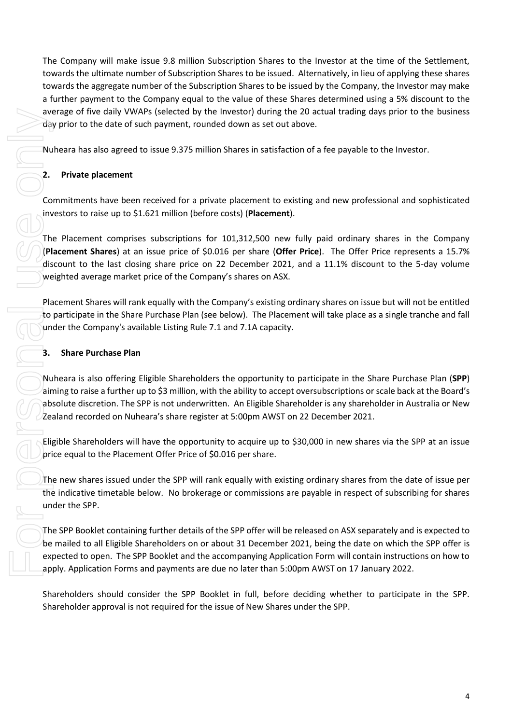The Company will make issue 9.8 million Subscription Shares to the Investor at the time of the Settlement, towards the ultimate number of Subscription Shares to be issued. Alternatively, in lieu of applying these shares towards the aggregate number of the Subscription Shares to be issued by the Company, the Investor may make a further payment to the Company equal to the value of these Shares determined using a 5% discount to the average of five daily VWAPs (selected by the Investor) during the 20 actual trading days prior to the business day prior to the date of such payment, rounded down as set out above.

Nuheara has also agreed to issue 9.375 million Shares in satisfaction of a fee payable to the Investor.

# **2. Private placement**

Commitments have been received for a private placement to existing and new professional and sophisticated investors to raise up to \$1.621 million (before costs) (**Placement**).

The Placement comprises subscriptions for 101,312,500 new fully paid ordinary shares in the Company (**Placement Shares**) at an issue price of \$0.016 per share (**Offer Price**). The Offer Price represents a 15.7% discount to the last closing share price on 22 December 2021, and a 11.1% discount to the 5-day volume weighted average market price of the Company's shares on ASX.

Placement Shares will rank equally with the Company's existing ordinary shares on issue but will not be entitled to participate in the Share Purchase Plan (see below). The Placement will take place as a single tranche and fall under the Company's available Listing Rule 7.1 and 7.1A capacity.

# **3. Share Purchase Plan**

Nuheara is also offering Eligible Shareholders the opportunity to participate in the Share Purchase Plan (**SPP**) aiming to raise a further up to \$3 million, with the ability to accept oversubscriptions or scale back at the Board's absolute discretion. The SPP is not underwritten. An Eligible Shareholder is any shareholder in Australia or New Zealand recorded on Nuheara's share register at 5:00pm AWST on 22 December 2021.

Eligible Shareholders will have the opportunity to acquire up to \$30,000 in new shares via the SPP at an issue price equal to the Placement Offer Price of \$0.016 per share.

The new shares issued under the SPP will rank equally with existing ordinary shares from the date of issue per the indicative timetable below. No brokerage or commissions are payable in respect of subscribing for shares under the SPP.

The SPP Booklet containing further details of the SPP offer will be released on ASX separately and is expected to be mailed to all Eligible Shareholders on or about 31 December 2021, being the date on which the SPP offer is expected to open. The SPP Booklet and the accompanying Application Form will contain instructions on how to apply. Application Forms and payments are due no later than 5:00pm AWST on 17 January 2022.

Shareholders should consider the SPP Booklet in full, before deciding whether to participate in the SPP.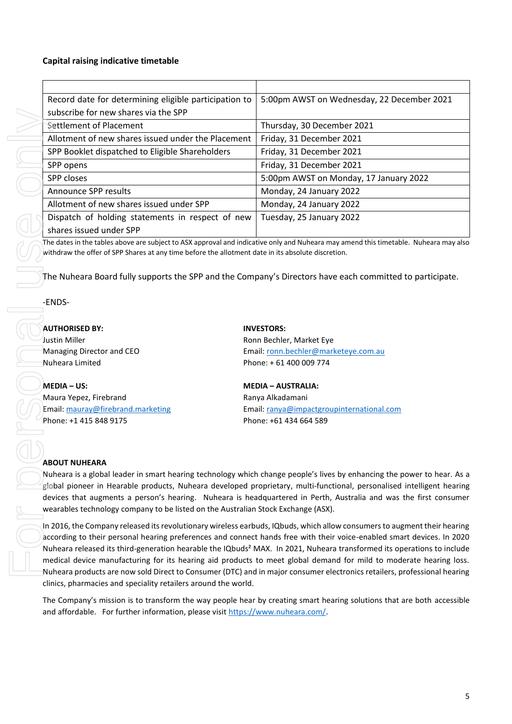### **Capital raising indicative timetable**

|  | Record date for determining eligible participation to                                                                                                                                                                                                                                                                                                                                                                                                                                                                                                                                                                                                                                                                                                                                                                                                                                                                                                                                                                                                                                                                                                                                                                                                                                                                                                                                                           | 5:00pm AWST on Wednesday, 22 December 2021 |
|--|-----------------------------------------------------------------------------------------------------------------------------------------------------------------------------------------------------------------------------------------------------------------------------------------------------------------------------------------------------------------------------------------------------------------------------------------------------------------------------------------------------------------------------------------------------------------------------------------------------------------------------------------------------------------------------------------------------------------------------------------------------------------------------------------------------------------------------------------------------------------------------------------------------------------------------------------------------------------------------------------------------------------------------------------------------------------------------------------------------------------------------------------------------------------------------------------------------------------------------------------------------------------------------------------------------------------------------------------------------------------------------------------------------------------|--------------------------------------------|
|  | subscribe for new shares via the SPP                                                                                                                                                                                                                                                                                                                                                                                                                                                                                                                                                                                                                                                                                                                                                                                                                                                                                                                                                                                                                                                                                                                                                                                                                                                                                                                                                                            |                                            |
|  | Settlement of Placement                                                                                                                                                                                                                                                                                                                                                                                                                                                                                                                                                                                                                                                                                                                                                                                                                                                                                                                                                                                                                                                                                                                                                                                                                                                                                                                                                                                         | Thursday, 30 December 2021                 |
|  | Allotment of new shares issued under the Placement                                                                                                                                                                                                                                                                                                                                                                                                                                                                                                                                                                                                                                                                                                                                                                                                                                                                                                                                                                                                                                                                                                                                                                                                                                                                                                                                                              | Friday, 31 December 2021                   |
|  | SPP Booklet dispatched to Eligible Shareholders                                                                                                                                                                                                                                                                                                                                                                                                                                                                                                                                                                                                                                                                                                                                                                                                                                                                                                                                                                                                                                                                                                                                                                                                                                                                                                                                                                 | Friday, 31 December 2021                   |
|  | SPP opens                                                                                                                                                                                                                                                                                                                                                                                                                                                                                                                                                                                                                                                                                                                                                                                                                                                                                                                                                                                                                                                                                                                                                                                                                                                                                                                                                                                                       | Friday, 31 December 2021                   |
|  | SPP closes                                                                                                                                                                                                                                                                                                                                                                                                                                                                                                                                                                                                                                                                                                                                                                                                                                                                                                                                                                                                                                                                                                                                                                                                                                                                                                                                                                                                      | 5:00pm AWST on Monday, 17 January 2022     |
|  | <b>Announce SPP results</b>                                                                                                                                                                                                                                                                                                                                                                                                                                                                                                                                                                                                                                                                                                                                                                                                                                                                                                                                                                                                                                                                                                                                                                                                                                                                                                                                                                                     | Monday, 24 January 2022                    |
|  | Allotment of new shares issued under SPP                                                                                                                                                                                                                                                                                                                                                                                                                                                                                                                                                                                                                                                                                                                                                                                                                                                                                                                                                                                                                                                                                                                                                                                                                                                                                                                                                                        | Monday, 24 January 2022                    |
|  | Dispatch of holding statements in respect of new                                                                                                                                                                                                                                                                                                                                                                                                                                                                                                                                                                                                                                                                                                                                                                                                                                                                                                                                                                                                                                                                                                                                                                                                                                                                                                                                                                | Tuesday, 25 January 2022                   |
|  | shares issued under SPP                                                                                                                                                                                                                                                                                                                                                                                                                                                                                                                                                                                                                                                                                                                                                                                                                                                                                                                                                                                                                                                                                                                                                                                                                                                                                                                                                                                         |                                            |
|  | The dates in the tables above are subject to ASX approval and indicative only and Nuheara may amend this timetable. Nuheara may also<br>withdraw the offer of SPP Shares at any time before the allotment date in its absolute discretion.<br>The Nuheara Board fully supports the SPP and the Company's Directors have each committed to participate.                                                                                                                                                                                                                                                                                                                                                                                                                                                                                                                                                                                                                                                                                                                                                                                                                                                                                                                                                                                                                                                          |                                            |
|  | -ENDS-                                                                                                                                                                                                                                                                                                                                                                                                                                                                                                                                                                                                                                                                                                                                                                                                                                                                                                                                                                                                                                                                                                                                                                                                                                                                                                                                                                                                          |                                            |
|  | <b>AUTHORISED BY:</b>                                                                                                                                                                                                                                                                                                                                                                                                                                                                                                                                                                                                                                                                                                                                                                                                                                                                                                                                                                                                                                                                                                                                                                                                                                                                                                                                                                                           | <b>INVESTORS:</b>                          |
|  | Justin Miller                                                                                                                                                                                                                                                                                                                                                                                                                                                                                                                                                                                                                                                                                                                                                                                                                                                                                                                                                                                                                                                                                                                                                                                                                                                                                                                                                                                                   | Ronn Bechler, Market Eye                   |
|  | Managing Director and CEO                                                                                                                                                                                                                                                                                                                                                                                                                                                                                                                                                                                                                                                                                                                                                                                                                                                                                                                                                                                                                                                                                                                                                                                                                                                                                                                                                                                       | Email: ronn.bechler@marketeye.com.au       |
|  | Nuheara Limited                                                                                                                                                                                                                                                                                                                                                                                                                                                                                                                                                                                                                                                                                                                                                                                                                                                                                                                                                                                                                                                                                                                                                                                                                                                                                                                                                                                                 | Phone: +61 400 009 774                     |
|  | <b>MEDIA-US:</b>                                                                                                                                                                                                                                                                                                                                                                                                                                                                                                                                                                                                                                                                                                                                                                                                                                                                                                                                                                                                                                                                                                                                                                                                                                                                                                                                                                                                | <b>MEDIA - AUSTRALIA:</b>                  |
|  | Maura Yepez, Firebrand                                                                                                                                                                                                                                                                                                                                                                                                                                                                                                                                                                                                                                                                                                                                                                                                                                                                                                                                                                                                                                                                                                                                                                                                                                                                                                                                                                                          | Ranya Alkadamani                           |
|  | Email: mauray@firebrand.marketing                                                                                                                                                                                                                                                                                                                                                                                                                                                                                                                                                                                                                                                                                                                                                                                                                                                                                                                                                                                                                                                                                                                                                                                                                                                                                                                                                                               | Email: ranya@impactgroupinternational.com  |
|  | Phone: +1 415 848 9175                                                                                                                                                                                                                                                                                                                                                                                                                                                                                                                                                                                                                                                                                                                                                                                                                                                                                                                                                                                                                                                                                                                                                                                                                                                                                                                                                                                          | Phone: +61 434 664 589                     |
|  | <b>ABOUT NUHEARA</b><br>Nuheara is a global leader in smart hearing technology which change people's lives by enhancing the power to hear. As a<br>global pioneer in Hearable products, Nuheara developed proprietary, multi-functional, personalised intelligent hearing<br>devices that augments a person's hearing. Nuheara is headquartered in Perth, Australia and was the first consumer<br>wearables technology company to be listed on the Australian Stock Exchange (ASX).<br>In 2016, the Company released its revolutionary wireless earbuds, IQbuds, which allow consumers to augment their hearing<br>according to their personal hearing preferences and connect hands free with their voice-enabled smart devices. In 2020<br>Nuheara released its third-generation hearable the IQbuds <sup>2</sup> MAX. In 2021, Nuheara transformed its operations to include<br>medical device manufacturing for its hearing aid products to meet global demand for mild to moderate hearing loss.<br>Nuheara products are now sold Direct to Consumer (DTC) and in major consumer electronics retailers, professional hearing<br>clinics, pharmacies and speciality retailers around the world.<br>The Company's mission is to transform the way people hear by creating smart hearing solutions that are both accessible<br>and affordable. For further information, please visit https://www.nuheara.com/ |                                            |
|  |                                                                                                                                                                                                                                                                                                                                                                                                                                                                                                                                                                                                                                                                                                                                                                                                                                                                                                                                                                                                                                                                                                                                                                                                                                                                                                                                                                                                                 |                                            |

#### -ENDS-

#### **AUTHORISED BY: INVESTORS:**

#### **MEDIA – US: MEDIA – AUSTRALIA:**

#### **ABOUT NUHEARA**